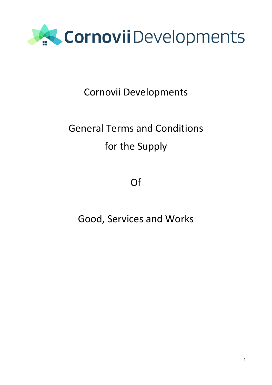

### Cornovii Developments

### General Terms and Conditions for the Supply

Of

Good, Services and Works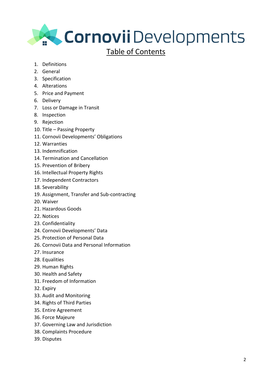

#### Table of Contents

- 1. Definitions
- 2. General
- 3. Specification
- 4. Alterations
- 5. Price and Payment
- 6. Delivery
- 7. Loss or Damage in Transit
- 8. Inspection
- 9. Rejection
- 10. Title Passing Property
- 11. Cornovii Developments' Obligations
- 12. Warranties
- 13. Indemnification
- 14. Termination and Cancellation
- 15. Prevention of Bribery
- 16. Intellectual Property Rights
- 17. Independent Contractors
- 18. Severability
- 19. Assignment, Transfer and Sub-contracting
- 20. Waiver
- 21. Hazardous Goods
- 22. Notices
- 23. Confidentiality
- 24. Cornovii Developments' Data
- 25. Protection of Personal Data
- 26. Cornovii Data and Personal Information
- 27. Insurance
- 28. Equalities
- 29. Human Rights
- 30. Health and Safety
- 31. Freedom of Information
- 32. Expiry
- 33. Audit and Monitoring
- 34. Rights of Third Parties
- 35. Entire Agreement
- 36. Force Majeure
- 37. Governing Law and Jurisdiction
- 38. Complaints Procedure
- 39. Disputes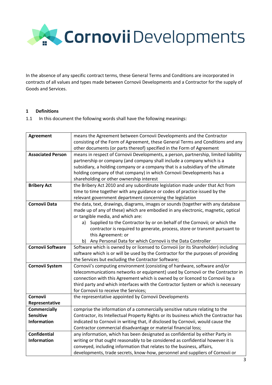

In the absence of any specific contract terms, these General Terms and Conditions are incorporated in contracts of all values and types made between Cornovii Developments and a Contractor for the supply of Goods and Services.

#### **1 Definitions**

1.1 In this document the following words shall have the following meanings:

| <b>Agreement</b>         | means the Agreement between Cornovii Developments and the Contractor                  |
|--------------------------|---------------------------------------------------------------------------------------|
|                          | consisting of the Form of Agreement, these General Terms and Conditions and any       |
|                          | other documents (or parts thereof) specified in the Form of Agreement                 |
| <b>Associated Person</b> | means in respect of Cornovii Developments, a person, partnership, limited liability   |
|                          | partnership or company (and company shall include a company which is a                |
|                          | subsidiary, a holding company or a company that is a subsidiary of the ultimate       |
|                          | holding company of that company) in which Cornovii Developments has a                 |
|                          | shareholding or other ownership interest                                              |
| <b>Bribery Act</b>       | the Bribery Act 2010 and any subordinate legislation made under that Act from         |
|                          | time to time together with any guidance or codes of practice issued by the            |
|                          | relevant government department concerning the legislation                             |
| <b>Cornovii Data</b>     | the data, text, drawings, diagrams, images or sounds (together with any database      |
|                          | made up of any of these) which are embodied in any electronic, magnetic, optical      |
|                          | or tangible media, and which are:                                                     |
|                          | a) Supplied to the Contractor by or on behalf of the Cornovii; or which the           |
|                          | contractor is required to generate, process, store or transmit pursuant to            |
|                          | this Agreement: or                                                                    |
|                          | b) Any Personal Data for which Cornovii is the Data Controller                        |
| <b>Cornovii Software</b> | Software which is owned by or licensed to Cornvoii (or its Shareholder) including     |
|                          | software which is or will be used by the Contractor for the purposes of providing     |
|                          | the Services but excluding the Contractor Software;                                   |
| <b>Cornovii System</b>   | Cornovii's computing environment (consisting of hardware, software and/or             |
|                          | telecommunications networks or equipment) used by Cornovii or the Contractor in       |
|                          | connection with this Agreement which is owned by or licenced to Cornovii by a         |
|                          | third party and which interfaces with the Contractor System or which is necessary     |
|                          | for Cornovii to receive the Services;                                                 |
| Cornovii                 | the representative appointed by Cornovii Developments                                 |
| Representative           |                                                                                       |
| <b>Commercially</b>      | comprise the information of a commercially sensitive nature relating to the           |
| <b>Sensitive</b>         | Contractor, its Intellectual Property Rights or its business which the Contractor has |
| <b>Information</b>       | indicated to Cornovii in writing that, if disclosed by Cornovii, would cause the      |
|                          | Contractor commercial disadvantage or material financial loss;                        |
| <b>Confidential</b>      | any information, which has been designated as confidential by either Party in         |
| <b>Information</b>       | writing or that ought reasonably to be considered as confidential however it is       |
|                          | conveyed, including information that relates to the business, affairs,                |
|                          | developments, trade secrets, know-how, personnel and suppliers of Cornovii or         |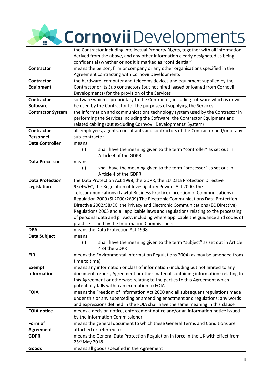# the Cornovii Developments

|                                 | the Contractor including intellectual Property Rights, together with all information                          |
|---------------------------------|---------------------------------------------------------------------------------------------------------------|
|                                 | derived from the above, and any other information clearly designated as being                                 |
|                                 | confidential (whether or not it is marked as "confidential"                                                   |
| <b>Contractor</b>               | means the person, firm or company or any other organisations specified in the                                 |
|                                 | Agreement contracting with Cornovii Developments                                                              |
| <b>Contractor</b>               | the hardware, computer and telecoms devices and equipment supplied by the                                     |
| Equipment                       | Contractor or its Sub contractors (but not hired leased or loaned from Cornovii                               |
|                                 | Developments) for the provision of the Services                                                               |
| <b>Contractor</b>               | software which is proprietary to the Contractor, including software which is or will                          |
| <b>Software</b>                 | be used by the Contractor for the purposes of supplying the Services                                          |
| <b>Contractor System</b>        | the information and communications technology system used by the Contractor in                                |
|                                 | performing the Services including the Software, the Contractor Equipment and                                  |
|                                 | related cabling (but excluding Cornvovii Developments' System)                                                |
| <b>Contractor</b>               | all employees, agents, consultants and contractors of the Contractor and/or of any                            |
| Personnel                       | sub-contractor                                                                                                |
| <b>Data Controller</b>          | means:                                                                                                        |
|                                 | (i)<br>shall have the meaning given to the term "controller" as set out in                                    |
|                                 | Article 4 of the GDPR                                                                                         |
| <b>Data Processor</b>           | means:                                                                                                        |
|                                 | shall have the meaning given to the term "processor" as set out in<br>(i)                                     |
|                                 | Article 4 of the GDPR                                                                                         |
| <b>Data Protection</b>          | the Data Protection Act 1998, the GDPR, the EU Data Protection Directive                                      |
| Legislation                     | 95/46/EC, the Regulation of Investigatory Powers Act 2000, the                                                |
|                                 | Telecommunications (Lawful Business Practice) Inception of Communications)                                    |
|                                 | Regulation 2000 (SI 2000/2699) The Electronic Communications Data Protection                                  |
|                                 | Directive 2002/58/EC, the Privacy and Electronic Communications (EC Directive)                                |
|                                 | Regulations 2003 and all applicable laws and regulations relating to the processing                           |
|                                 | of personal data and privacy, including where applicable the guidance and codes of                            |
|                                 | practice issued by the Information Commissioner                                                               |
| <b>DPA</b>                      | means the Data Protection Act 1998                                                                            |
| Data Subject                    | means:                                                                                                        |
|                                 | (i)<br>shall have the meaning given to the term "subject" as set out in Article                               |
|                                 | 4 of the GDPR                                                                                                 |
| <b>EIR</b>                      | means the Environmental Information Regulations 2004 (as may be amended from                                  |
|                                 | time to time)                                                                                                 |
| <b>Exempt</b>                   | means any information or class of information (including but not limited to any                               |
| <b>Information</b>              | document, report, Agreement or other material containing information) relating to                             |
|                                 | this Agreement or otherwise relating to the parties to this Agreement which                                   |
|                                 | potentially falls within an exemption to FOIA                                                                 |
| <b>FOIA</b>                     | means the Freedom of Information Act 2000 and all subsequent regulations made                                 |
|                                 | under this or any superseding or amending enactment and regulations; any words                                |
| <b>FOIA notice</b>              | and expressions defined in the FOIA shall have the same meaning in this clause                                |
|                                 | means a decision notice, enforcement notice and/or an information notice issued                               |
| Form of                         | by the Information Commissioner<br>means the general document to which these General Terms and Conditions are |
|                                 | attached or referred to                                                                                       |
| <b>Agreement</b><br><b>GDPR</b> | means the General Data Protection Regulation in force in the UK with effect from                              |
|                                 | 25 <sup>th</sup> May 2018                                                                                     |
| Goods                           |                                                                                                               |
|                                 | means all goods specified in the Agreement                                                                    |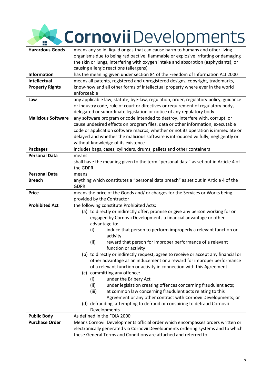### **Kazardous Gornovii** Developments Ŧ

| <b>Hazardous Goods</b>    | means any solid, liquid or gas that can cause harm to humans and other living        |
|---------------------------|--------------------------------------------------------------------------------------|
|                           | organisms due to being radioactive, flammable or explosive irritating or damaging    |
|                           | the skin or lungs, interfering with oxygen intake and absorption (asphyxiants), or   |
|                           | causing allergic reactions (allergens)                                               |
| <b>Information</b>        | has the meaning given under section 84 of the Freedom of Information Act 2000        |
| <b>Intellectual</b>       | means all patents, registered and unregistered designs, copyright, trademarks,       |
| <b>Property Rights</b>    | know-how and all other forms of intellectual property where ever in the world        |
|                           | enforceable                                                                          |
| Law                       | any applicable law, statute, bye-law, regulation, order, regulatory policy, guidance |
|                           | or industry code, rule of court or directives or requirement of regulatory body,     |
|                           | delegated or subordinate legislation or notice of any regulatory body                |
| <b>Malicious Software</b> | any software program or code intended to destroy, interfere with, corrupt, or        |
|                           | cause undesired effects on program files, data or other information, executable      |
|                           | code or application software macros, whether or not its operation is immediate or    |
|                           | delayed and whether the malicious software is introduced wilfully, negligently or    |
|                           | without knowledge of its existence                                                   |
| <b>Packages</b>           | includes bags, cases, cylinders, drums, pallets and other containers                 |
| <b>Personal Data</b>      | means:                                                                               |
|                           | shall have the meaning given to the term "personal data" as set out in Article 4 of  |
|                           | the GDPR                                                                             |
| <b>Personal Data</b>      | means:                                                                               |
| <b>Breach</b>             | anything which constitutes a "personal data breach" as set out in Article 4 of the   |
|                           | <b>GDPR</b>                                                                          |
| <b>Price</b>              | means the price of the Goods and/ or charges for the Services or Works being         |
|                           | provided by the Contractor                                                           |
| <b>Prohibited Act</b>     | the following constitute Prohibited Acts:                                            |
|                           | (a) to directly or indirectly offer, promise or give any person working for or       |
|                           | engaged by Cornovii Developments a financial advantage or other                      |
|                           | advantage to:                                                                        |
|                           | induce that person to perform improperly a relevant function or<br>(i)               |
|                           | activity                                                                             |
|                           | reward that person for improper performance of a relevant<br>(ii)                    |
|                           | function or activity                                                                 |
|                           | (b) to directly or indirectly request, agree to receive or accept any financial or   |
|                           | other advantage as an inducement or a reward for improper performance                |
|                           | of a relevant function or activity in connection with this Agreement                 |
|                           | (c) committing any offence:                                                          |
|                           | (i)<br>under the Bribery Act                                                         |
|                           | under legislation creating offences concerning fraudulent acts;<br>(ii)              |
|                           | at common law concerning fraudulent acts relating to this<br>(iii)                   |
|                           | Agreement or any other contract with Cornovii Developments; or                       |
|                           | (d) defrauding, attempting to defraud or conspiring to defraud Cornovii              |
|                           | Developments                                                                         |
| <b>Public Body</b>        | As defined in the FOIA 2000                                                          |
| <b>Purchase Order</b>     | Means Cornovii Developments official order which encompasses orders written or       |
|                           | electronically generated via Cornovii Developments ordering systems and to which     |
|                           | these General Terms and Conditions are attached and referred to                      |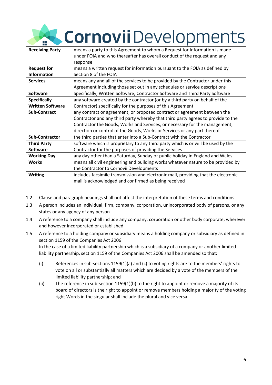# Cornovii Developments

| <b>Receiving Party</b>  | means a party to this Agreement to whom a Request for Information is made          |
|-------------------------|------------------------------------------------------------------------------------|
|                         | under FOIA and who thereafter has overall conduct of the request and any           |
|                         | response                                                                           |
| <b>Request for</b>      | means a written request for information pursuant to the FOIA as defined by         |
| <b>Information</b>      | Section 8 of the FOIA                                                              |
| <b>Services</b>         | means any and all of the services to be provided by the Contractor under this      |
|                         | Agreement including those set out in any schedules or service descriptions         |
| <b>Software</b>         | Specifically, Written Software, Contractor Software and Third Party Software       |
| <b>Specifically</b>     | any software created by the contractor (or by a third party on behalf of the       |
| <b>Written Software</b> | Contractor) specifically for the purposes of this Agreement                        |
| <b>Sub-Contract</b>     | any contract or agreement, or proposed contract or agreement between the           |
|                         | Contractor and any third party whereby that third party agrees to provide to the   |
|                         | Contractor the Goods, Works and Services, or necessary for the management,         |
|                         | direction or control of the Goods, Works or Services or any part thereof           |
| <b>Sub-Contractor</b>   | the third parties that enter into a Sub-Contract with the Contractor               |
| <b>Third Party</b>      | software which is proprietary to any third party which is or will be used by the   |
| <b>Software</b>         | Contractor for the purposes of providing the Services                              |
| <b>Working Day</b>      | any day other than a Saturday, Sunday or public holiday in England and Wales       |
| <b>Works</b>            | means all civil engineering and building works whatever nature to be provided by   |
|                         | the Contractor to Cornovii Developments                                            |
| <b>Writing</b>          | includes facsimile transmission and electronic mail, providing that the electronic |
|                         | mail is acknowledged and confirmed as being received                               |

- 1.2 Clause and paragraph headings shall not affect the interpretation of these terms and conditions
- 1.3 A person includes an individual, firm, company, corporation, unincorporated body of persons, or any states or any agency of any person
- 1.4 A reference to a company shall include any company, corporation or other body corporate, wherever and however incorporated or established
- 1.5 A reference to a holding company or subsidiary means a holding company or subsidiary as defined in section 1159 of the Companies Act 2006 In the case of a limited liability partnership which is a subsidiary of a company or another limited liability partnership, section 1159 of the Companies Act 2006 shall be amended so that:
	- (i) References in sub-sections 1159(1)(a) and (c) to voting rights are to the members' rights to vote on all or substantially all matters which are decided by a vote of the members of the limited liability partnership; and
	- (ii) The reference in sub-section 1159(1)(b) to the right to appoint or remove a majority of its board of directors is the right to appoint or remove members holding a majority of the voting right Words in the singular shall include the plural and vice versa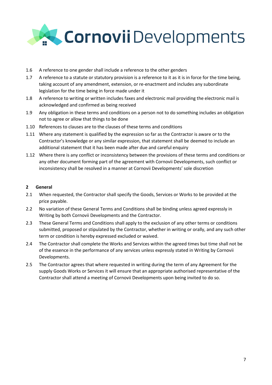

- 1.6 A reference to one gender shall include a reference to the other genders
- 1.7 A reference to a statute or statutory provision is a reference to it as it is in force for the time being, taking account of any amendment, extension, or re-enactment and includes any subordinate legislation for the time being in force made under it
- 1.8 A reference to writing or written includes faxes and electronic mail providing the electronic mail is acknowledged and confirmed as being received
- 1.9 Any obligation in these terms and conditions on a person not to do something includes an obligation not to agree or allow that things to be done
- 1.10 References to clauses are to the clauses of these terms and conditions
- 1.11 Where any statement is qualified by the expression so far as the Contractor is aware or to the Contractor's knowledge or any similar expression, that statement shall be deemed to include an additional statement that it has been made after due and careful enquiry
- 1.12 Where there is any conflict or inconsistency between the provisions of these terms and conditions or any other document forming part of the agreement with Cornovii Developments, such conflict or inconsistency shall be resolved in a manner at Cornovii Developments' sole discretion

#### **2 General**

- 2.1 When requested, the Contractor shall specify the Goods, Services or Works to be provided at the price payable.
- 2.2 No variation of these General Terms and Conditions shall be binding unless agreed expressly in Writing by both Cornovii Developments and the Contractor.
- 2.3 These General Terms and Conditions shall apply to the exclusion of any other terms or conditions submitted, proposed or stipulated by the Contractor, whether in writing or orally, and any such other term or condition is hereby expressed excluded or waived.
- 2.4 The Contractor shall complete the Works and Services within the agreed times but time shall not be of the essence in the performance of any services unless expressly stated in Writing by Cornovii Developments.
- 2.5 The Contractor agrees that where requested in writing during the term of any Agreement for the supply Goods Works or Services it will ensure that an appropriate authorised representative of the Contractor shall attend a meeting of Cornovii Developments upon being invited to do so.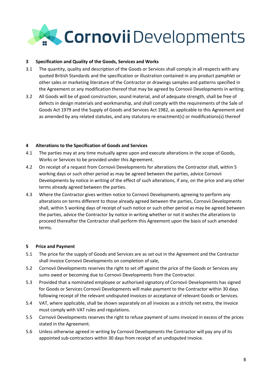

#### **3 Specification and Quality of the Goods, Services and Works**

- 3.1 The quantity, quality and description of the Goods or Services shall comply in all respects with any quoted British Standards and the specification or illustration contained in any product pamphlet or other sales or marketing literature of the Contractor or drawings samples and patterns specified in the Agreement or any modification thereof that may be agreed by Cornovii Developments in writing.
- 3.2 All Goods will be of good construction, sound material, and of adequate strength, shall be free of defects in design materials and workmanship, and shall comply with the requirements of the Sale of Goods Act 1979 and the Supply of Goods and Services Act 1982, as applicable to this Agreement and as amended by any related statutes, and any statutory re-enactment(s) or modifications(s) thereof

#### **4 Alterations to the Specification of Goods and Services**

- 4.1 The parties may at any time mutually agree upon and execute alterations in the scope of Goods, Works or Services to be provided under this Agreement.
- 4.2 On receipt of a request from Cornovii Developments for alterations the Contractor shall, within 5 working days or such other period as may be agreed between the parties, advice Cornovii Developments by notice in writing of the effect of such alterations, if any, on the price and any other terms already agreed between the parties.
- 4.3 Where the Contractor gives written notice to Cornovii Developments agreeing to perform any alterations on terms different to those already agreed between the parties, Cornovii Developments shall, within 5 working days of receipt of such notice or such other period as may be agreed between the parties, advice the Contractor by notice in writing whether or not it wishes the alterations to proceed thereafter the Contractor shall perform this Agreement upon the basis of such amended terms.

#### **5 Price and Payment**

- 5.1 The price for the supply of Goods and Services are as set out in the Agreement and the Contractor shall invoice Cornovii Developments on completion of sale,
- 5.2 Cornovii Developments reserves the right to set off against the price of the Goods or Services any sums owed or becoming due to Cornovii Developments from the Contractor.
- 5.3 Provided that a nominated employee or authorised signatory of Cornovii Developments has signed for Goods or Services Cornovii Developments will make payment to the Contractor within 30 days following receipt of the relevant undisputed invoices or acceptance of relevant Goods or Services.
- 5.4 VAT, where applicable, shall be shown separately on all invoices as a strictly net extra, the Invoice must comply with VAT rules and regulations.
- 5.5 Cornovii Developments reserves the right to refuse payment of sums invoiced in excess of the prices stated in the Agreement.
- 5.6 Unless otherwise agreed in writing by Cornovii Developments the Contractor will pay any of its appointed sub-contractors within 30 days from receipt of an undisputed invoice.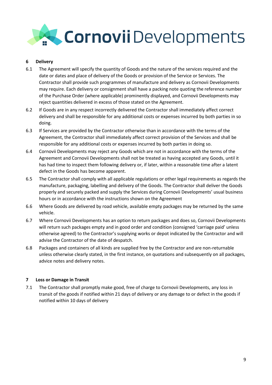

#### **6 Delivery**

- 6.1 The Agreement will specify the quantity of Goods and the nature of the services required and the date or dates and place of delivery of the Goods or provision of the Service or Services. The Contractor shall provide such programmes of manufacture and delivery as Cornovii Developments may require. Each delivery or consignment shall have a packing note quoting the reference number of the Purchase Order (where applicable) prominently displayed, and Cornovii Developments may reject quantities delivered in excess of those stated on the Agreement.
- 6.2 If Goods are in any respect incorrectly delivered the Contractor shall immediately affect correct delivery and shall be responsible for any additional costs or expenses incurred by both parties in so doing.
- 6.3 If Services are provided by the Contractor otherwise than in accordance with the terms of the Agreement, the Contractor shall immediately affect correct provision of the Services and shall be responsible for any additional costs or expenses incurred by both parties in doing so.
- 6.4 Cornovii Developments may reject any Goods which are not in accordance with the terms of the Agreement and Cornovii Developments shall not be treated as having accepted any Goods, until it has had time to inspect them following delivery or, if later, within a reasonable time after a latent defect in the Goods has become apparent.
- 6.5 The Contractor shall comply with all applicable regulations or other legal requirements as regards the manufacture, packaging, labelling and delivery of the Goods. The Contractor shall deliver the Goods properly and securely packed and supply the Services during Cornovii Developments' usual business hours or in accordance with the instructions shown on the Agreement
- 6.6 Where Goods are delivered by road vehicle, available empty packages may be returned by the same vehicle.
- 6.7 Where Cornovii Developments has an option to return packages and does so, Cornovii Developments will return such packages empty and in good order and condition (consigned 'carriage paid' unless otherwise agreed) to the Contractor's supplying works or depot indicated by the Contractor and will advise the Contractor of the date of despatch.
- 6.8 Packages and containers of all kinds are supplied free by the Contractor and are non-returnable unless otherwise clearly stated, in the first instance, on quotations and subsequently on all packages, advice notes and delivery notes.

#### **7 Loss or Damage in Transit**

7.1 The Contractor shall promptly make good, free of charge to Cornovii Developments, any loss in transit of the goods if notified within 21 days of delivery or any damage to or defect in the goods if notified within 10 days of delivery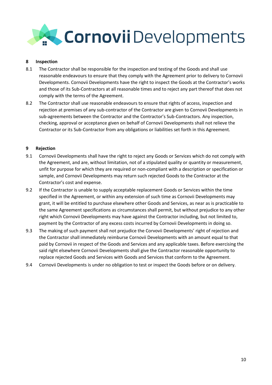

#### **8 Inspection**

- 8.1 The Contractor shall be responsible for the inspection and testing of the Goods and shall use reasonable endeavours to ensure that they comply with the Agreement prior to delivery to Cornovii Developments. Cornovii Developments have the right to inspect the Goods at the Contractor's works and those of its Sub-Contractors at all reasonable times and to reject any part thereof that does not comply with the terms of the Agreement.
- 8.2 The Contractor shall use reasonable endeavours to ensure that rights of access, inspection and rejection at premises of any sub-contractor of the Contractor are given to Cornovii Developments in sub-agreements between the Contractor and the Contractor's Sub-Contractors. Any inspection, checking, approval or acceptance given on behalf of Cornovii Developments shall not relieve the Contractor or its Sub-Contractor from any obligations or liabilities set forth in this Agreement.

#### **9 Rejection**

- 9.1 Cornovii Developments shall have the right to reject any Goods or Services which do not comply with the Agreement, and are, without limitation, not of a stipulated quality or quantity or measurement, unfit for purpose for which they are required or non-compliant with a description or specification or sample, and Cornovii Developments may return such rejected Goods to the Contractor at the Contractor's cost and expense.
- 9.2 If the Contractor is unable to supply acceptable replacement Goods or Services within the time specified in the Agreement, or within any extension of such time as Cornovii Developments may grant, it will be entitled to purchase elsewhere other Goods and Services, as near as is practicable to the same Agreement specifications as circumstances shall permit, but without prejudice to any other right which Cornovii Developments may have against the Contractor including, but not limited to, payment by the Contractor of any excess costs incurred by Cornovii Developments in doing so.
- 9.3 The making of such payment shall not prejudice the Corvovii Developments' right of rejection and the Contractor shall immediately reimburse Cornovii Developments with an amount equal to that paid by Cornovii in respect of the Goods and Services and any applicable taxes. Before exercising the said right elsewhere Cornovii Developments shall give the Contractor reasonable opportunity to replace rejected Goods and Services with Goods and Services that conform to the Agreement.
- 9.4 Cornovii Developments is under no obligation to test or inspect the Goods before or on delivery.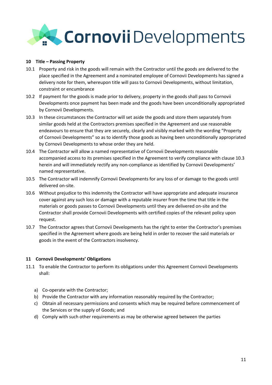

#### **10 Title – Passing Property**

- 10.1 Property and risk in the goods will remain with the Contractor until the goods are delivered to the place specified in the Agreement and a nominated employee of Cornovii Developments has signed a delivery note for them, whereupon title will pass to Cornovii Developments, without limitation, constraint or encumbrance
- 10.2 If payment for the goods is made prior to delivery, property in the goods shall pass to Cornovii Developments once payment has been made and the goods have been unconditionally appropriated by Cornovii Developments.
- 10.3 In these circumstances the Contractor will set aside the goods and store them separately from similar goods held at the Contractors premises specified in the Agreement and use reasonable endeavours to ensure that they are securely, clearly and visibly marked with the wording "Property of Cornovii Developments" so as to identify those goods as having been unconditionally appropriated by Cornovii Developments to whose order they are held.
- 10.4 The Contractor will allow a named representative of Cornovii Developments reasonable accompanied access to its premises specified in the Agreement to verify compliance with clause 10.3 herein and will immediately rectify any non-compliance as identified by Cornovii Developments' named representative.
- 10.5 The Contractor will indemnify Cornovii Developments for any loss of or damage to the goods until delivered on-site.
- 10.6 Without prejudice to this indemnity the Contractor will have appropriate and adequate insurance cover against any such loss or damage with a reputable insurer from the time that title in the materials or goods passes to Cornovii Developments until they are delivered on-site and the Contractor shall provide Cornovii Developments with certified copies of the relevant policy upon request.
- 10.7 The Contractor agrees that Cornovii Developments has the right to enter the Contractor's premises specified in the Agreement where goods are being held in order to recover the said materials or goods in the event of the Contractors insolvency.

#### **11 Cornovii Developments' Obligations**

- 11.1 To enable the Contractor to perform its obligations under this Agreement Cornovii Developments shall:
	- a) Co-operate with the Contractor;
	- b) Provide the Contractor with any information reasonably required by the Contractor;
	- c) Obtain all necessary permissions and consents which may be required before commencement of the Services or the supply of Goods; and
	- d) Comply with such other requirements as may be otherwise agreed between the parties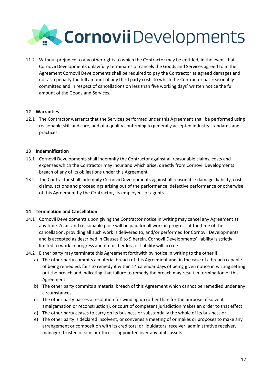

11.2 Without prejudice to any other rights to which the Contractor may be entitled, in the event that Cornovii Developments unlawfully terminates or cancels the Goods and Services agreed to in the Agreement Cornovii Developments shall be required to pay the Contractor as agreed damages and not as a penalty the full amount of any third party costs to which the Contractor has reasonably committed and in respect of cancellations on less than five working days' written notice the full amount of the Goods and Services.

#### **12 Warranties**

12.1 The Contractor warrants that the Services performed under this Agreement shall be performed using reasonable skill and care, and of a quality confirming to generally accepted industry standards and practices.

#### **13 Indemnification**

- 13.1 Cornovii Developments shall indemnify the Contractor against all reasonable claims, costs and expenses which the Contractor may incur and which arise, directly from Cornovii Developments breach of any of its obligations under this Agreement.
- 13.2 The Contractor shall indemnify Cornovii Developments against all reasonable damage, liability, costs, claims, actions and proceedings arising out of the performance, defective performance or otherwise of this Agreement by the Contractor, its employees or agents.

#### **14 Termination and Cancellation**

- 14.1 Cornovii Developments upon giving the Contractor notice in writing may cancel any Agreement at any time. A fair and reasonable price will be paid for all work in progress at the time of the cancellation, providing all such work is delivered to, and/or performed for Cornovii Developments and is accepted as described in Clauses 6 to 9 herein. Cornovii Developments' liability is strictly limited to work in progress and no further loss or liability will accrue.
- 14.2 Either party may terminate this Agreement forthwith by notice in writing to the other if:
	- a) The other party commits a material breach of this Agreement and, in the case of a breach capable of being remedied, fails to remedy it within 14 calendar days of being given notice in writing setting out the breach and indicating that failure to remedy the breach may result in termination of this Agreement
	- b) The other party commits a material breach of this Agreement which cannot be remedied under any circumstances
	- c) The other party passes a resolution for winding up (other than for the purpose of solvent amalgamation or reconstruction), or court of competent jurisdiction makes an order to that effect
	- d) The other party ceases to carry on its business or substantially the whole of its business or
	- e) The other party is declared insolvent, or convenes a meeting of or makes or proposes to make any arrangement or composition with its creditors; or liquidators, receiver, administrative receiver, manager, trustee or similar officer is appointed over any of its assets.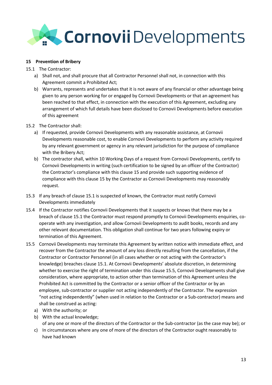## Cornovii Developments

#### **15 Prevention of Bribery**

- 15.1 The Contractor:
	- a) Shall not, and shall procure that all Contractor Personnel shall not, in connection with this Agreement commit a Prohibited Act;
	- b) Warrants, represents and undertakes that it is not aware of any financial or other advantage being given to any person working for or engaged by Cornovii Developments or that an agreement has been reached to that effect, in connection with the execution of this Agreement, excluding any arrangement of which full details have been disclosed to Cornovii Developments before execution of this agreement

#### 15.2 The Contractor shall:

- a) If requested, provide Cornovii Developments with any reasonable assistance, at Cornovii Developments reasonable cost, to enable Cornovii Developments to perform any activity required by any relevant government or agency in any relevant jurisdiction for the purpose of compliance with the Bribery Act;
- b) The contractor shall, within 10 Working Days of a request from Cornovii Developments, certify to Cornovii Developments in writing (such certification to be signed by an officer of the Contractor) the Contractor's compliance with this clause 15 and provide such supporting evidence of compliance with this clause 15 by the Contractor as Cornovii Developments may reasonably request.
- 15.3 If any breach of clause 15.1 is suspected of known, the Contractor must notify Cornovii Developments immediately
- 15.4 If the Contractor notifies Cornovii Developments that it suspects or knows that there may be a breach of clause 15.1 the Contractor must respond promptly to Cornovii Developments enquiries, cooperate with any investigation, and allow Cornovii Developments to audit books, records and any other relevant documentation. This obligation shall continue for two years following expiry or termination of this Agreement.
- 15.5 Cornovii Developments may terminate this Agreement by written notice with immediate effect, and recover from the Contractor the amount of any loss directly resulting from the cancellation, if the Contractor or Contractor Personnel (in all cases whether or not acting with the Contractor's knowledge) breaches clause 15.1. At Cornovii Developments' absolute discretion, in determining whether to exercise the right of termination under this clause 15.5, Cornovii Developments shall give consideration, where appropriate, to action other than termination of this Agreement unless the Prohibited Act is committed by the Contractor or a senior officer of the Contractor or by an employee, sub-contractor or supplier not acting independently of the Contractor. The expression "not acting independently" (when used in relation to the Contractor or a Sub-contractor) means and shall be construed as acting:
	- a) With the authority; or
	- b) With the actual knowledge; of any one or more of the directors of the Contractor or the Sub-contractor (as the case may be); or
	- c) In circumstances where any one of more of the directors of the Contractor ought reasonably to have had known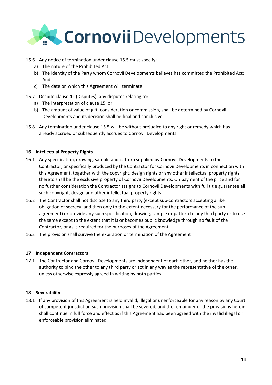

#### 15.6 Any notice of termination under clause 15.5 must specify:

- a) The nature of the Prohibited Act
- b) The identity of the Party whom Cornovii Developments believes has committed the Prohibited Act; And
- c) The date on which this Agreement will terminate
- 15.7 Despite clause 42 (Disputes), any disputes relating to:
	- a) The interpretation of clause 15; or
	- b) The amount of value of gift, consideration or commission, shall be determined by Cornovii Developments and its decision shall be final and conclusive
- 15.8 Any termination under clause 15.5 will be without prejudice to any right or remedy which has already accrued or subsequently accrues to Cornovii Developments

#### **16 Intellectual Property Rights**

- 16.1 Any specification, drawing, sample and pattern supplied by Cornovii Developments to the Contractor, or specifically produced by the Contractor for Cornovii Developments in connection with this Agreement, together with the copyright, design rights or any other intellectual property rights thereto shall be the exclusive property of Cornovii Developments. On payment of the price and for no further consideration the Contractor assigns to Cornovii Developments with full title guarantee all such copyright, design and other intellectual property rights.
- 16.2 The Contractor shall not disclose to any third party (except sub-contractors accepting a like obligation of secrecy, and then only to the extent necessary for the performance of the subagreement) or provide any such specification, drawing, sample or pattern to any third party or to use the same except to the extent that it is or becomes public knowledge through no fault of the Contractor, or as is required for the purposes of the Agreement.
- 16.3 The provision shall survive the expiration or termination of the Agreement

#### **17 Independent Contractors**

17.1 The Contractor and Cornovii Developments are independent of each other, and neither has the authority to bind the other to any third party or act in any way as the representative of the other, unless otherwise expressly agreed in writing by both parties.

#### **18 Severability**

18.1 If any provision of this Agreement is held invalid, illegal or unenforceable for any reason by any Court of competent jurisdiction such provision shall be severed, and the remainder of the provisions herein shall continue in full force and effect as if this Agreement had been agreed with the invalid illegal or enforceable provision eliminated.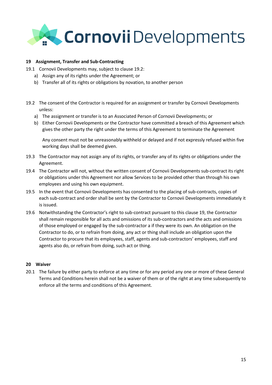

#### **19 Assignment, Transfer and Sub-Contracting**

- 19.1 Cornovii Developments may, subject to clause 19.2:
	- a) Assign any of its rights under the Agreement; or
	- b) Transfer all of its rights or obligations by novation, to another person
- 19.2 The consent of the Contractor is required for an assignment or transfer by Cornovii Developments unless:
	- a) The assignment or transfer is to an Associated Person of Cornovii Developments; or
	- b) Either Cornovii Developments or the Contractor have committed a breach of this Agreement which gives the other party the right under the terms of this Agreement to terminate the Agreement

Any consent must not be unreasonably withheld or delayed and if not expressly refused within five working days shall be deemed given.

- 19.3 The Contractor may not assign any of its rights, or transfer any of its rights or obligations under the Agreement.
- 19.4 The Contractor will not, without the written consent of Cornovii Developments sub-contract its right or obligations under this Agreement nor allow Services to be provided other than through his own employees and using his own equipment.
- 19.5 In the event that Cornovii Developments has consented to the placing of sub-contracts, copies of each sub-contract and order shall be sent by the Contractor to Cornovii Developments immediately it is issued.
- 19.6 Notwithstanding the Contractor's right to sub-contract pursuant to this clause 19, the Contractor shall remain responsible for all acts and omissions of its sub-contractors and the acts and omissions of those employed or engaged by the sub-contractor a if they were its own. An obligation on the Contractor to do, or to refrain from doing, any act or thing shall include an obligation upon the Contractor to procure that its employees, staff, agents and sub-contractors' employees, staff and agents also do, or refrain from doing, such act or thing.

#### **20 Waiver**

20.1 The failure by either party to enforce at any time or for any period any one or more of these General Terms and Conditions herein shall not be a waiver of them or of the right at any time subsequently to enforce all the terms and conditions of this Agreement.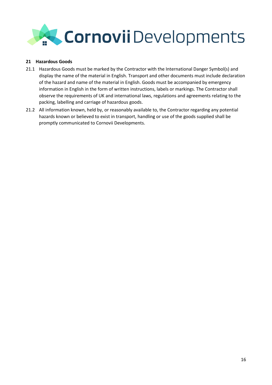

#### **21 Hazardous Goods**

- 21.1 Hazardous Goods must be marked by the Contractor with the International Danger Symbol(s) and display the name of the material in English. Transport and other documents must include declaration of the hazard and name of the material in English. Goods must be accompanied by emergency information in English in the form of written instructions, labels or markings. The Contractor shall observe the requirements of UK and international laws, regulations and agreements relating to the packing, labelling and carriage of hazardous goods.
- 21.2 All information known, held by, or reasonably available to, the Contractor regarding any potential hazards known or believed to exist in transport, handling or use of the goods supplied shall be promptly communicated to Cornovii Developments.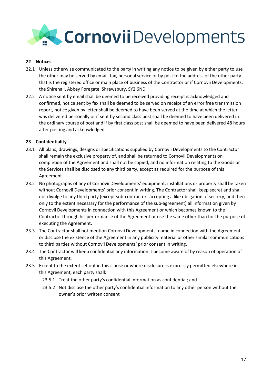

#### **22 Notices**

- 22.1 Unless otherwise communicated to the party in writing any notice to be given by either party to use the other may be served by email, fax, personal service or by post to the address of the other party that is the registered office or main place of business of the Contractor or if Cornovii Developments, the Shirehall, Abbey Foregate, Shrewsbury, SY2 6ND
- 22.2 A notice sent by email shall be deemed to be received providing receipt is acknowledged and confirmed, notice sent by fax shall be deemed to be served on receipt of an error free transmission report, notice given by letter shall be deemed to have been served at the time at which the letter was delivered personally or if sent by second class post shall be deemed to have been delivered in the ordinary course of post and if by first class post shall be deemed to have been delivered 48 hours after posting and acknowledged.

#### **23 Confidentiality**

- 23.1 All plans, drawings, designs or specifications supplied by Cornovii Developments to the Contractor shall remain the exclusive property of, and shall be returned to Cornovii Developments on completion of the Agreement and shall not be copied, and no information relating to the Goods or the Services shall be disclosed to any third party, except as required for the purpose of this Agreement.
- 23.2 No photographs of any of Cornovii Developments' equipment, installations or property shall be taken without Cornovii Developments' prior consent in writing. The Contractor shall keep secret and shall not divulge to any third party (except sub-contractors accepting a like obligation of secrecy, and then only to the extent necessary for the performance of the sub-agreement) all information given by Cornovii Developments in connection with this Agreement or which becomes known to the Contractor through his performance of the Agreement or use the same other than for the purpose of executing the Agreement.
- 23.3 The Contractor shall not mention Cornovii Developments' name in connection with the Agreement or disclose the existence of the Agreement in any publicity material or other similar communications to third parties without Cornovii Developments' prior consent in writing.
- 23.4 The Contractor will keep confidential any information it become aware of by reason of operation of this Agreement.
- 23.5 Except to the extent set out in this clause or where disclosure is expressly permitted elsewhere in this Agreement, each party shall:
	- 23.5.1 Treat the other party's confidential information as confidential; and
	- 23.5.2 Not disclose the other party's confidential information to any other person without the owner's prior written consent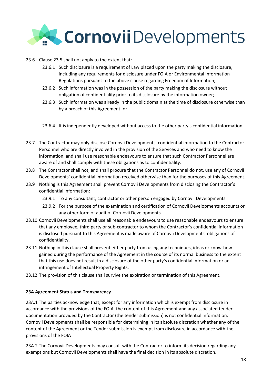

- 23.6 Clause 23.5 shall not apply to the extent that:
	- 23.6.1 Such disclosure is a requirement of Law placed upon the party making the disclosure, including any requirements for disclosure under FOIA or Environmental Information Regulations pursuant to the above clause regarding Freedom of Information;
	- 23.6.2 Such information was in the possession of the party making the disclosure without obligation of confidentiality prior to its disclosure by the information owner;
	- 23.6.3 Such information was already in the public domain at the time of disclosure otherwise than by a breach of this Agreement; or
	- 23.6.4 It is independently developed without access to the other party's confidential information.
- 23.7 The Contractor may only disclose Cornovii Developments' confidential information to the Contractor Personnel who are directly involved in the provision of the Services and who need to know the information, and shall use reasonable endeavours to ensure that such Contractor Personnel are aware of and shall comply with these obligations as to confidentiality.
- 23.8 The Contractor shall not, and shall procure that the Contractor Personnel do not, use any of Cornovii Developments' confidential information received otherwise than for the purposes of this Agreement.
- 23.9 Nothing is this Agreement shall prevent Cornovii Developments from disclosing the Contractor's confidential information:
	- 23.9.1 To any consultant, contractor or other person engaged by Cornovii Developments
	- 23.9.2 For the purpose of the examination and certification of Cornovii Developments accounts or any other form of audit of Cornovii Developments
- 23.10 Cornovii Developments shall use all reasonable endeavours to use reasonable endeavours to ensure that any employee, third party or sub-contractor to whom the Contractor's confidential information is disclosed pursuant to this Agreement is made aware of Cornovii Developments' obligations of confidentiality.
- 23.11 Nothing in this clause shall prevent either party from using any techniques, ideas or know-how gained during the performance of the Agreement in the course of its normal business to the extent that this use does not result in a disclosure of the other party's confidential information or an infringement of Intellectual Property Rights.
- 23.12 The provision of this clause shall survive the expiration or termination of this Agreement.

#### **23A Agreement Status and Transparency**

23A.1 The parties acknowledge that, except for any information which is exempt from disclosure in accordance with the provisions of the FOIA, the content of this Agreement and any associated tender documentation provided by the Contractor (the tender submission) is not confidential information. Cornovii Developments shall be responsible for determining in its absolute discretion whether any of the content of the Agreement or the Tender submission is exempt from disclosure in accordance with the provisions of the FOIA

23A.2 The Cornovii Developments may consult with the Contractor to inform its decision regarding any exemptions but Cornovii Developments shall have the final decision in its absolute discretion.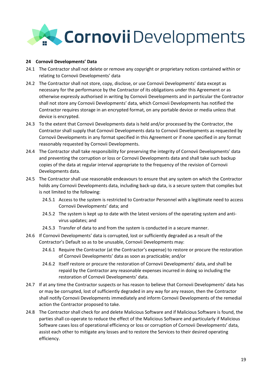

#### **24 Cornovii Developments' Data**

- 24.1 The Contractor shall not delete or remove any copyright or proprietary notices contained within or relating to Cornovii Developments' data
- 24.2 The Contractor shall not store, copy, disclose, or use Cornovii Developments' data except as necessary for the performance by the Contractor of its obligations under this Agreement or as otherwise expressly authorised in writing by Cornovii Developments and in particular the Contractor shall not store any Cornovii Developments' data, which Cornovii Developments has notified the Contractor requires storage in an encrypted format, on any portable device or media unless that device is encrypted.
- 24.3 To the extent that Cornovii Developments data is held and/or processed by the Contractor, the Contractor shall supply that Cornovii Developments data to Cornovii Developments as requested by Cornovii Developments in any format specified in this Agreement or if none specified in any format reasonably requested by Cornovii Developments.
- 24.4 The Contractor shall take responsibility for preserving the integrity of Cornovii Developments' data and preventing the corruption or loss or Cornovii Developments data and shall take such backup copies of the data at regular interval appropriate to the frequency of the revision of Cornovii Developments data.
- 24.5 The Contractor shall use reasonable endeavours to ensure that any system on which the Contractor holds any Cornovii Developments data, including back-up data, is a secure system that complies but is not limited to the following:
	- 24.5.1 Access to the system is restricted to Contractor Personnel with a legitimate need to access Cornovii Developments' data; and
	- 24.5.2 The system is kept up to date with the latest versions of the operating system and antivirus updates; and
	- 24.5.3 Transfer of data to and from the system is conducted in a secure manner.
- 24.6 If Cornovii Developments' data is corrupted, lost or sufficiently degraded as a result of the Contractor's Default so as to be unusable, Cornovii Developments may:
	- 24.6.1 Require the Contractor (at the Contractor's expense) to restore or procure the restoration of Cornovii Developments' data as soon as practicable; and/or
	- 24.6.2 Itself restore or procure the restoration of Cornovii Developments' data, and shall be repaid by the Contractor any reasonable expenses incurred in doing so including the restoration of Cornovii Developments' data.
- 24.7 If at any time the Contractor suspects or has reason to believe that Cornovii Developments' data has or may be corrupted, lost of sufficiently degraded in any way for any reason, then the Contractor shall notify Cornovii Developments immediately and inform Cornovii Developments of the remedial action the Contractor proposed to take.
- 24.8 The Contractor shall check for and delete Malicious Software and if Malicious Software is found, the parties shall co-operate to reduce the effect of the Malicious Software and particularly if Malicious Software cases loss of operational efficiency or loss or corruption of Cornovii Developments' data, assist each other to mitigate any losses and to restore the Services to their desired operating efficiency.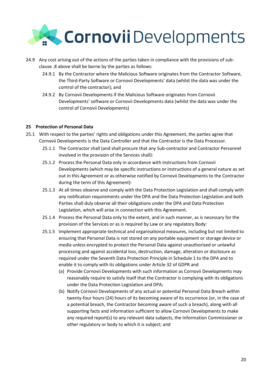

- 24.9 Any cost arising out of the actions of the parties taken in compliance with the provisions of subclause .8 above shall be borne by the parties as follows:
	- 24.9.1 By the Contractor where the Malicious Software originates from the Contractor Software, the Third-Party Software or Cornovii Developments' data (whilst the data was under the control of the contractor); and
	- 24.9.2 By Cornovii Developments if the Malicious Software originates from Cornovii Developments' software or Cornovii Developments data (whilst the data was under the control of Cornovii Developments)

#### **25 Protection of Personal Data**

- 25.1 With respect to the parties' rights and obligations under this Agreement, the parties agree that Cornovii Developments is the Data Controller and that the Contractor is the Data Processor.
	- 25.1.1 The Contractor shall (and shall procure that any Sub-contractor and Contractor Personnel involved in the provision of the Services shall):
	- 25.1.2 Process the Personal Data only in accordance with instructions from Cornovii Developments (which may be specific instructions or instructions of a general nature as set out in this Agreement or as otherwise notified by Cornovii Developments to the Contractor during the term of this Agreement):
	- 25.1.3 At all times observe and comply with the Data Protection Legislation and shall comply with any notification requirements under the DPA and the Data Protection Legislation and both Parties shall duly observe all their obligations under the DPA and Data Protection Legislation, which will arise in connection with this Agreement.
	- 25.1.4 Process the Personal Data only to the extent, and in such manner, as is necessary for the provision of the Services or as is required by Law or any regulatory Body:
	- 25.1.5 Implement appropriate technical and organisational measures, including but not limited to ensuring that Personal Data is not stored on any portable equipment or storage device or media unless encrypted to protect the Personal Data against unauthorised or unlawful processing and against accidental loss, destruction, damage, alteration or disclosure as required under the Seventh Data Protection Principle in Schedule 1 to the DPA and to enable it to comply with its obligations under Article 32 of GDPR and
		- (a) Provide Cornovii Developments with such information as Cornovii Developments may reasonably require to satisfy itself that the Contractor is complying with its obligations under the Data Protection Legislation and DPA;
		- (b) Notify Cornovii Developments of any actual or potential Personal Data Breach within twenty-four hours (24) hours of its becoming aware of its occurrence (or, in the case of a potential breach, the Contractor becoming aware of such a breach), along with all supporting facts and information sufficient to allow Cornovii Developments to make any required report(s) to any relevant data subjects, the Information Commissioner or other regulatory or body to which it is subject; and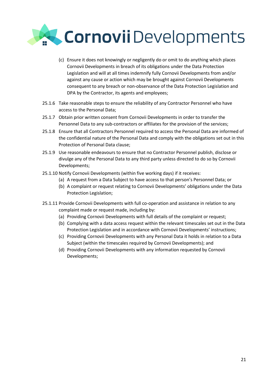

- (c) Ensure it does not knowingly or negligently do or omit to do anything which places Cornovii Developments in breach of its obligations under the Data Protection Legislation and will at all times indemnify fully Cornovii Developments from and/or against any cause or action which may be brought against Cornovii Developments consequent to any breach or non-observance of the Data Protection Legislation and DPA by the Contractor, its agents and employees;
- 25.1.6 Take reasonable steps to ensure the reliability of any Contractor Personnel who have access to the Personal Data;
- 25.1.7 Obtain prior written consent from Cornovii Developments in order to transfer the Personnel Data to any sub-contractors or affiliates for the provision of the services;
- 25.1.8 Ensure that all Contractors Personnel required to access the Personal Data are informed of the confidential nature of the Personal Data and comply with the obligations set out in this Protection of Personal Data clause;
- 25.1.9 Use reasonable endeavours to ensure that no Contractor Personnel publish, disclose or divulge any of the Personal Data to any third party unless directed to do so by Cornovii Developments;
- 25.1.10 Notify Cornovii Developments (within five working days) if it receives:
	- (a) A request from a Data Subject to have access to that person's Personnel Data; or
	- (b) A complaint or request relating to Cornovii Developments' obligations under the Data Protection Legislation;
- 25.1.11 Provide Cornovii Developments with full co-operation and assistance in relation to any complaint made or request made, including by:
	- (a) Providing Cornovii Developments with full details of the complaint or request;
	- (b) Complying with a data access request within the relevant timescales set out in the Data Protection Legislation and in accordance with Cornovii Developments' instructions;
	- (c) Providing Cornovii Developments with any Personal Data it holds in relation to a Data Subject (within the timescales required by Cornovii Developments); and
	- (d) Providing Cornovii Developments with any information requested by Cornovii Developments;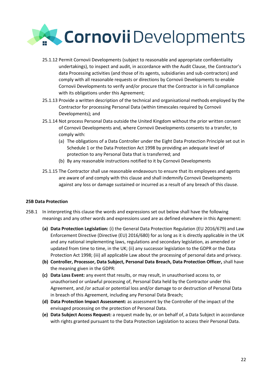

- 25.1.12 Permit Cornovii Developments (subject to reasonable and appropriate confidentiality undertakings), to inspect and audit, in accordance with the Audit Clause, the Contractor's data Processing activities (and those of its agents, subsidiaries and sub-contractors) and comply with all reasonable requests or directions by Cornovii Developments to enable Cornovii Developments to verify and/or procure that the Contractor is in full compliance with its obligations under this Agreement;
- 25.1.13 Provide a written description of the technical and organisational methods employed by the Contractor for processing Personal Data (within timescales required by Cornovii Developments); and
- 25.1.14 Not process Personal Data outside the United Kingdom without the prior written consent of Cornovii Developments and, where Cornovii Developments consents to a transfer, to comply with:
	- (a) The obligations of a Data Controller under the Eight Data Protection Principle set out in Schedule 1 or the Data Protection Act 1998 by providing an adequate level of protection to any Personal Data that is transferred; and
	- (b) By any reasonable instructions notified to it by Cornovii Developments
- 25.1.15 The Contractor shall use reasonable endeavours to ensure that its employees and agents are aware of and comply with this clause and shall indemnify Cornovii Developments against any loss or damage sustained or incurred as a result of any breach of this clause.

#### **25B Data Protection**

- 25B.1 In interpreting this clause the words and expressions set out below shall have the following meanings and any other words and expressions used are as defined elsewhere in this Agreement:
	- **(a) Data Protection Legislation:** (i) the General Data Protection Regulation (EU 2016/679) and Law Enforcement Directive (Directive (EU) 2016/680) for as long as it is directly applicable in the UK and any national implementing laws, regulations and secondary legislation, as amended or updated from time to time, in the UK; (ii) any successor legislation to the GDPR or the Data Protection Act 1998; (iii) all applicable Law about the processing of personal data and privacy.
	- **(b) Controller, Processor, Data Subject, Personal Data Breach, Data Protection Officer,** shall have the meaning given in the GDPR:
	- **(c) Data Loss Event:** any event that results, or may result, in unauthorised access to, or unauthorised or unlawful processing of, Personal Data held by the Contractor under this Agreement, and /or actual or potential loss and/or damage to or destruction of Personal Data in breach of this Agreement, including any Personal Data Breach;
	- **(d) Data Protection Impact Assessment:** as assessment by the Controller of the impact of the envisaged processing on the protection of Personal Data.
	- **(e) Data Subject Access Request:** a request made by, or on behalf of, a Data Subject in accordance with rights granted pursuant to the Data Protection Legislation to access their Personal Data.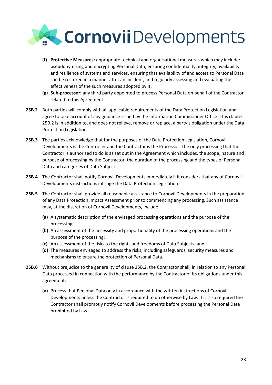

- **(f) Protective Measures:** appropriate technical and organisational measures which may include: pseudonymising and encrypting Personal Data, ensuring confidentiality, integrity, availability and resilience of systems and services, ensuring that availability of and access to Personal Data can be restored in a manner after an incident, and regularly assessing and evaluating the effectiveness of the such measures adopted by it;
- **(g) Sub-processor:** any third party appointed to process Personal Data on behalf of the Contractor related to this Agreement
- **25B.2** Both parties will comply with all applicable requirements of the Data Protection Legislation and agree to take account of any guidance issued by the Information Commissioner Office. This clause 25B.2 is in addition to, and does not relieve, remove or replace, a party's obligation under the Data Protection Legislation.
- **25B.3** The parties acknowledge that for the purposes of the Data Protection Legislation, Cornovii Developments is the Controller and the Contractor is the Processor. The only processing that the Contractor is authorised to do is as set out in the Agreement which includes, the scope, nature and purpose of processing by the Contractor, the duration of the processing and the types of Personal Data and categories of Data Subject.
- **25B.4** The Contractor shall notify Cornovii Developments immediately if it considers that any of Cornovii Developments instructions infringe the Data Protection Legislation.
- **25B.5** The Contractor shall provide all reasonable assistance to Cornovii Developments in the preparation of any Data Protection Impact Assessment prior to commencing any processing. Such assistance may, at the discretion of Cornovii Developments, include:
	- **(a)** A systematic description of the envisaged processing operations and the purpose of the processing;
	- **(b)** An assessment of the necessity and proportionality of the processing operations and the purpose of the processing;
	- **(c)** An assessment of the risks to the rights and freedoms of Data Subjects; and
	- **(d)** The measures envisaged to address the risks, including safeguards, security measures and mechanisms to ensure the protection of Personal Data.
- **25B.6** Without prejudice to the generality of clause 25B.2, the Contractor shall, in relation to any Personal Data processed in connection with the performance by the Contractor of its obligations under this agreement:
	- **(a)** Process that Personal Data only in accordance with the written instructions of Cornovii Developments unless the Contractor is required to do otherwise by Law. If it is so required the Contractor shall promptly notify Cornovii Developments before processing the Personal Data prohibited by Law;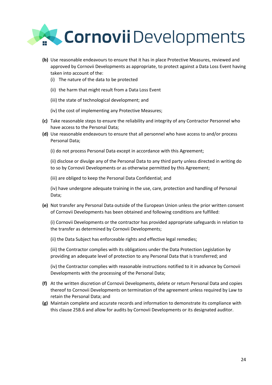

- **(b)** Use reasonable endeavours to ensure that it has in place Protective Measures, reviewed and approved by Cornovii Developments as appropriate, to protect against a Data Loss Event having taken into account of the:
	- (i) The nature of the data to be protected
	- (ii) the harm that might result from a Data Loss Event
	- (iii) the state of technological development; and
	- (iv) the cost of implementing any Protective Measures;
- **(c)** Take reasonable steps to ensure the reliability and integrity of any Contractor Personnel who have access to the Personal Data;
- **(d)** Use reasonable endeavours to ensure that all personnel who have access to and/or process Personal Data;
	- (i) do not process Personal Data except in accordance with this Agreement;

(ii) disclose or divulge any of the Personal Data to any third party unless directed in writing do to so by Cornovii Developments or as otherwise permitted by this Agreement;

(iii) are obliged to keep the Personal Data Confidential; and

(iv) have undergone adequate training in the use, care, protection and handling of Personal Data;

**(e)** Not transfer any Personal Data outside of the European Union unless the prior written consent of Cornovii Developments has been obtained and following conditions are fulfilled:

(i) Cornovii Developments or the contractor has provided appropriate safeguards in relation to the transfer as determined by Cornovii Developments;

(ii) the Data Subject has enforceable rights and effective legal remedies;

(iii) the Contractor complies with its obligations under the Data Protection Legislation by providing an adequate level of protection to any Personal Data that is transferred; and

(iv) the Contractor complies with reasonable instructions notified to it in advance by Cornovii Developments with the processing of the Personal Data;

- **(f)** At the written discretion of Cornovii Developments, delete or return Personal Data and copies thereof to Cornovii Developments on termination of the agreement unless required by Law to retain the Personal Data; and
- **(g)** Maintain complete and accurate records and information to demonstrate its compliance with this clause 25B.6 and allow for audits by Cornovii Developments or its designated auditor.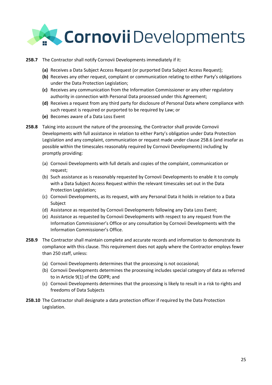

- **25B.7** The Contractor shall notify Cornovii Developments immediately if it:
	- **(a)** Receives a Data Subject Access Request (or purported Data Subject Access Request);
	- **(b)** Receives any other request, complaint or communication relating to either Party's obligations under the Data Protection Legislation;
	- **(c)** Receives any communication from the Information Commissioner or any other regulatory authority in connection with Personal Data processed under this Agreement;
	- **(d)** Receives a request from any third party for disclosure of Personal Data where compliance with such request is required or purported to be required by Law; or
	- **(e)** Becomes aware of a Data Loss Event
- **25B.8** Taking into account the nature of the processing, the Contractor shall provide Cornovii Developments with full assistance in relation to either Party's obligation under Data Protection Legislation and any complaint, communication or request made under clause 25B.6 (and insofar as possible within the timescales reasonably required by Cornovii Developments) including by promptly providing:
	- (a) Cornovii Developments with full details and copies of the complaint, communication or request;
	- (b) Such assistance as is reasonably requested by Cornovii Developments to enable it to comply with a Data Subject Access Request within the relevant timescales set out in the Data Protection Legislation;
	- (c) Cornovii Developments, as its request, with any Personal Data it holds in relation to a Data Subject
	- (d) Assistance as requested by Cornovii Developments following any Data Loss Event;
	- (e) Assistance as requested by Cornovii Developments with respect to any request from the Information Commissioner's Office or any consultation by Cornovii Developments with the Information Commissioner's Office.
- **25B.9** The Contractor shall maintain complete and accurate records and information to demonstrate its compliance with this clause. This requirement does not apply where the Contractor employs fewer than 250 staff, unless:
	- (a) Cornovii Developments determines that the processing is not occasional;
	- (b) Cornovii Developments determines the processing includes special category of data as referred to in Article 9(1) of the GDPR; and
	- (c) Cornovii Developments determines that the processing is likely to result in a risk to rights and freedoms of Data Subjects
- **25B.10** The Contractor shall designate a data protection officer if required by the Data Protection Legislation.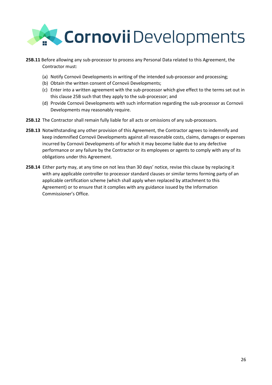

- **25B.11** Before allowing any sub-processor to process any Personal Data related to this Agreement, the Contractor must:
	- (a) Notify Cornovii Developments in writing of the intended sub-processor and processing;
	- (b) Obtain the written consent of Cornovii Developments;
	- (c) Enter into a written agreement with the sub-processor which give effect to the terms set out in this clause 25B such that they apply to the sub-processor; and
	- (d) Provide Cornovii Developments with such information regarding the sub-processor as Cornovii Developments may reasonably require.
- **25B.12** The Contractor shall remain fully liable for all acts or omissions of any sub-processors.
- **25B.13** Notwithstanding any other provision of this Agreement, the Contractor agrees to indemnify and keep indemnified Cornovii Developments against all reasonable costs, claims, damages or expenses incurred by Cornovii Developments of for which it may become liable due to any defective performance or any failure by the Contractor or its employees or agents to comply with any of its obligations under this Agreement.
- **25B.14** Either party may, at any time on not less than 30 days' notice, revise this clause by replacing it with any applicable controller to processor standard clauses or similar terms forming party of an applicable certification scheme (which shall apply when replaced by attachment to this Agreement) or to ensure that it complies with any guidance issued by the Information Commissioner's Office.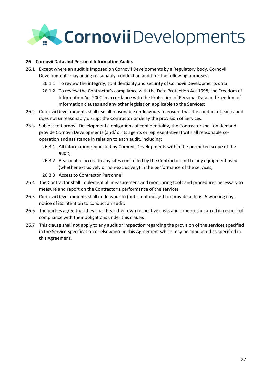

#### **26 Cornovii Data and Personal Information Audits**

- **26.1** Except where an audit is imposed on Cornovii Developments by a Regulatory body, Cornovii Developments may acting reasonably, conduct an audit for the following purposes:
	- 26.1.1 To review the integrity, confidentiality and security of Cornovii Developments data
	- 26.1.2 To review the Contractor's compliance with the Data Protection Act 1998, the Freedom of Information Act 2000 in accordance with the Protection of Personal Data and Freedom of Information clauses and any other legislation applicable to the Services;
- 26.2 Cornovii Developments shall use all reasonable endeavours to ensure that the conduct of each audit does not unreasonably disrupt the Contractor or delay the provision of Services.
- 26.3 Subject to Cornovii Developments' obligations of confidentiality, the Contractor shall on demand provide Cornovii Developments (and/ or its agents or representatives) with all reasonable cooperation and assistance in relation to each audit, including:
	- 26.3.1 All information requested by Cornovii Developments within the permitted scope of the audit;
	- 26.3.2 Reasonable access to any sites controlled by the Contractor and to any equipment used (whether exclusively or non-exclusively) in the performance of the services;
	- 26.3.3 Access to Contractor Personnel
- 26.4 The Contractor shall implement all measurement and monitoring tools and procedures necessary to measure and report on the Contractor's performance of the services
- 26.5 Cornovii Developments shall endeavour to (but is not obliged to) provide at least 5 working days notice of its intention to conduct an audit.
- 26.6 The parties agree that they shall bear their own respective costs and expenses incurred in respect of compliance with their obligations under this clause.
- 26.7 This clause shall not apply to any audit or inspection regarding the provision of the services specified in the Service Specification or elsewhere in this Agreement which may be conducted as specified in this Agreement.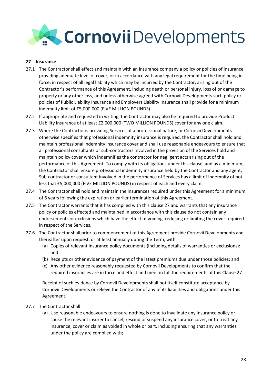## Cornovii Developments

#### **27 Insurance**

- 27.1 The Contractor shall effect and maintain with an insurance company a policy or policies of insurance providing adequate level of cover, or in accordance with any legal requirement for the time being in force, in respect of all legal liability which may be incurred by the Contractor, arising out of the Contractor's performance of this Agreement, including death or personal injury, loss of or damage to property or any other loss, and unless otherwise agreed with Cornovii Developments such policy or policies of Public Liability Insurance and Employers Liability Insurance shall provide for a minimum indemnity limit of £5,000,000 (FIVE MILLION POUNDS)
- 27.2 If appropriate and requested in writing, the Contractor may also be required to provide Product Liability Insurance of at least £2,000,000 (TWO MILLION POUNDS) cover for any one claim.
- 27.3 Where the Contractor is providing Services of a professional nature, or Cornovii Developments otherwise specifies that professional indemnity insurance is required, the Contractor shall hold and maintain professional indemnity insurance cover and shall use reasonable endeavours to ensure that all professional consultants or sub-contractors involved in the provision of the Services hold and maintain policy cover which indemnifies the contractor for negligent acts arising out of the performance of this Agreement. To comply with its obligations under this clause, and as a minimum, the Contractor shall ensure professional indemnity insurance held by the Contractor and any agent, Sub-contractor or consultant involved in the performance of Services has a limit of indemnity of not less that £5,000,000 (FIVE MILLION POUNDS) in respect of each and every claim.
- 27.4 The Contractor shall hold and maintain the insurances required under this Agreement for a minimum of 6 years following the expiration or earlier termination of this Agreement.
- 27.5 The Contractor warrants that it has complied with this clause 27 and warrants that any insurance policy or policies effected and maintained in accordance with this clause do not contain any endorsements or exclusions which have the effect of voiding, reducing or limiting the cover required in respect of the Services.
- 27.6 The Contractor shall prior to commencement of this Agreement provide Cornovii Developments and thereafter upon request, or at least annually during the Term, with:
	- (a) Copies of relevant insurance policy documents (including details of warranties or exclusions): and
	- (b) Receipts or other evidence of payment of the latest premiums due under those policies; and
	- (c) Any other evidence reasonably requested by Cornovii Developments to confirm that the required insurances are in force and effect and meet in full the requirements of this Clause 27

Receipt of such evidence by Cornovii Developments shall not itself constitute acceptance by Cornovii Developments or relieve the Contractor of any of its liabilities and obligations under this Agreement.

- 27.7 The Contractor shall:
	- (a) Use reasonable endeavours to ensure nothing is done to invalidate any insurance policy or cause the relevant insurer to cancel, rescind or suspend any insurance cover, or to treat any insurance, cover or claim as voided in whole or part, including ensuring that any warranties under the policy are complied with;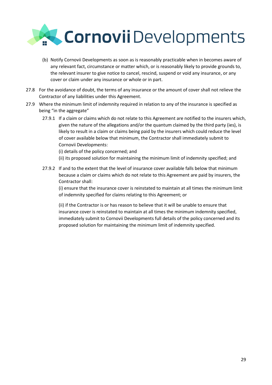

- (b) Notify Cornovii Developments as soon as is reasonably practicable when in becomes aware of any relevant fact, circumstance or matter which, or is reasonably likely to provide grounds to, the relevant insurer to give notice to cancel, rescind, suspend or void any insurance, or any cover or claim under any insurance or whole or in part.
- 27.8 For the avoidance of doubt, the terms of any insurance or the amount of cover shall not relieve the Contractor of any liabilities under this Agreement.
- 27.9 Where the minimum limit of indemnity required in relation to any of the insurance is specified as being "in the aggregate"
	- 27.9.1 If a claim or claims which do not relate to this Agreement are notified to the insurers which, given the nature of the allegations and/or the quantum claimed by the third party (ies), is likely to result in a claim or claims being paid by the insurers which could reduce the level of cover available below that minimum, the Contractor shall immediately submit to Cornovii Developments:
		- (i) details of the policy concerned; and
		- (ii) its proposed solution for maintaining the minimum limit of indemnity specified; and
	- 27.9.2 If and to the extent that the level of insurance cover available falls below that minimum because a claim or claims which do not relate to this Agreement are paid by insurers, the Contractor shall:

(i) ensure that the insurance cover is reinstated to maintain at all times the minimum limit of indemnity specified for claims relating to this Agreement; or

(ii) if the Contractor is or has reason to believe that it will be unable to ensure that insurance cover is reinstated to maintain at all times the minimum indemnity specified, immediately submit to Cornovii Developments full details of the policy concerned and its proposed solution for maintaining the minimum limit of indemnity specified.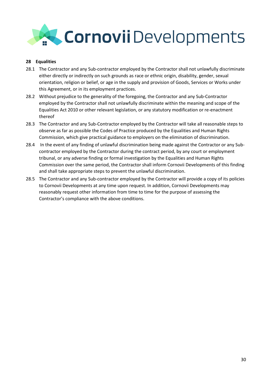

#### **28 Equalities**

- 28.1 The Contractor and any Sub-contractor employed by the Contractor shall not unlawfully discriminate either directly or indirectly on such grounds as race or ethnic origin, disability, gender, sexual orientation, religion or belief, or age in the supply and provision of Goods, Services or Works under this Agreement, or in its employment practices.
- 28.2 Without prejudice to the generality of the foregoing, the Contractor and any Sub-Contractor employed by the Contractor shall not unlawfully discriminate within the meaning and scope of the Equalities Act 2010 or other relevant legislation, or any statutory modification or re-enactment thereof
- 28.3 The Contractor and any Sub-Contractor employed by the Contractor will take all reasonable steps to observe as far as possible the Codes of Practice produced by the Equalities and Human Rights Commission, which give practical guidance to employers on the elimination of discrimination.
- 28.4 In the event of any finding of unlawful discrimination being made against the Contractor or any Subcontractor employed by the Contractor during the contract period, by any court or employment tribunal, or any adverse finding or formal investigation by the Equalities and Human Rights Commission over the same period, the Contractor shall inform Cornovii Developments of this finding and shall take appropriate steps to prevent the unlawful discrimination.
- 28.5 The Contractor and any Sub-contractor employed by the Contractor will provide a copy of its policies to Cornovii Developments at any time upon request. In addition, Cornovii Developments may reasonably request other information from time to time for the purpose of assessing the Contractor's compliance with the above conditions.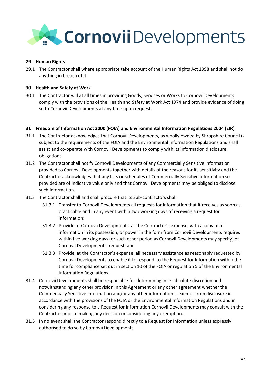## Cornovii Developments

#### **29 Human Rights**

29.1 The Contractor shall where appropriate take account of the Human Rights Act 1998 and shall not do anything in breach of it.

#### **30 Health and Safety at Work**

30.1 The Contractor will at all times in providing Goods, Services or Works to Cornovii Developments comply with the provisions of the Health and Safety at Work Act 1974 and provide evidence of doing so to Cornovii Developments at any time upon request.

#### **31 Freedom of Information Act 2000 (FOIA) and Environmental Information Regulations 2004 (EIR)**

- 31.1 The Contractor acknowledges that Cornovii Developments, as wholly owned by Shropshire Council is subject to the requirements of the FOIA and the Environmental Information Regulations and shall assist and co-operate with Cornovii Developments to comply with its information disclosure obligations.
- 31.2 The Contractor shall notify Cornovii Developments of any Commercially Sensitive Information provided to Cornovii Developments together with details of the reasons for its sensitivity and the Contractor acknowledges that any lists or schedules of Commercially Sensitive Information so provided are of indicative value only and that Cornovii Developments may be obliged to disclose such information.
- 31.3 The Contractor shall and shall procure that its Sub-contractors shall:
	- 31.3.1 Transfer to Cornovii Developments all requests for information that it receives as soon as practicable and in any event within two working days of receiving a request for information;
	- 31.3.2 Provide to Cornovii Developments, at the Contractor's expense, with a copy of all information in its possession, or power in the form from Cornovii Developments requires within five working days (or such other period as Cornovii Developments may specify) of Cornovii Developments' request; and
	- 31.3.3 Provide, at the Contractor's expense, all necessary assistance as reasonably requested by Cornovii Developments to enable it to respond to the Request for Information within the time for compliance set out in section 10 of the FOIA or regulation 5 of the Environmental Information Regulations.
- 31.4 Cornovii Developments shall be responsible for determining in its absolute discretion and notwithstanding any other provision in this Agreement or any other agreement whether the Commercially Sensitive Information and/or any other information is exempt from disclosure in accordance with the provisions of the FOIA or the Environmental Information Regulations and in considering any response to a Request for Information Cornovii Developments may consult with the Contractor prior to making any decision or considering any exemption.
- 31.5 In no event shall the Contractor respond directly to a Request for Information unless expressly authorised to do so by Cornovii Developments.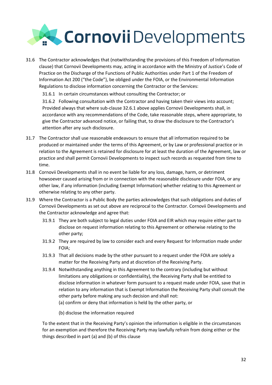

31.6 The Contractor acknowledges that (notwithstanding the provisions of this Freedom of Information clause) that Cornovii Developments may, acting in accordance with the Ministry of Justice's Code of Practice on the Discharge of the Functions of Public Authorities under Part 1 of the Freedom of Information Act 200 ("the Code"), be obliged under the FOIA, or the Environmental Information Regulations to disclose information concerning the Contractor or the Services:

31.6.1 In certain circumstances without consulting the Contractor; or

31.6.2 Following consultation with the Contractor and having taken their views into account; Provided always that where sub-clause 32.6.1 above applies Cornovii Developments shall, in accordance with any recommendations of the Code, take reasonable steps, where appropriate, to give the Contractor advanced notice, or failing that, to draw the disclosure to the Contractor's attention after any such disclosure.

- 31.7 The Contractor shall use reasonable endeavours to ensure that all information required to be produced or maintained under the terms of this Agreement, or by Law or professional practice or in relation to the Agreement is retained for disclosure for at least the duration of the Agreement, law or practice and shall permit Cornovii Developments to inspect such records as requested from time to time.
- 31.8 Cornovii Developments shall in no event be liable for any loss, damage, harm, or detriment howsoever caused arising from or in connection with the reasonable disclosure under FOIA, or any other law, if any information (including Exempt Information) whether relating to this Agreement or otherwise relating to any other party.
- 31.9 Where the Contractor is a Public Body the parties acknowledges that such obligations and duties of Cornovii Developments as set out above are reciprocal to the Contractor. Cornovii Developments and the Contractor acknowledge and agree that:
	- 31.9.1 They are both subject to legal duties under FOIA and EIR which may require either part to disclose on request information relating to this Agreement or otherwise relating to the other party;
	- 31.9.2 They are required by law to consider each and every Request for Information made under FOIA;
	- 31.9.3 That all decisions made by the other pursuant to a request under the FOIA are solely a matter for the Receiving Party and at discretion of the Receiving Party.
	- 31.9.4 Notwithstanding anything in this Agreement to the contrary (including but without limitations any obligations or confidentiality), the Receiving Party shall be entitled to disclose information in whatever form pursuant to a request made under FOIA, save that in relation to any information that is Exempt Information the Receiving Party shall consult the other party before making any such decision and shall not: (a) confirm or deny that information is held by the other party, or

(b) disclose the information required

To the extent that in the Receiving Party's opinion the information is eligible in the circumstances for an exemption and therefore the Receiving Party may lawfully refrain from doing either or the things described in part (a) and (b) of this clause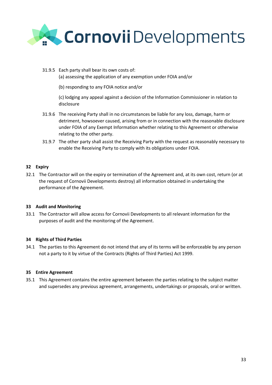

- 31.9.5 Each party shall bear its own costs of:
	- (a) assessing the application of any exemption under FOIA and/or
	- (b) responding to any FOIA notice and/or

(c) lodging any appeal against a decision of the Information Commissioner in relation to disclosure

- 31.9.6 The receiving Party shall in no circumstances be liable for any loss, damage, harm or detriment, howsoever caused, arising from or in connection with the reasonable disclosure under FOIA of any Exempt Information whether relating to this Agreement or otherwise relating to the other party.
- 31.9.7 The other party shall assist the Receiving Party with the request as reasonably necessary to enable the Receiving Party to comply with its obligations under FOIA.

#### **32 Expiry**

32.1 The Contractor will on the expiry or termination of the Agreement and, at its own cost, return (or at the request of Cornovii Developments destroy) all information obtained in undertaking the performance of the Agreement.

#### **33 Audit and Monitoring**

33.1 The Contractor will allow access for Cornovii Developments to all relevant information for the purposes of audit and the monitoring of the Agreement.

#### **34 Rights of Third Parties**

34.1 The parties to this Agreement do not intend that any of its terms will be enforceable by any person not a party to it by virtue of the Contracts (Rights of Third Parties) Act 1999.

#### **35 Entire Agreement**

35.1 This Agreement contains the entire agreement between the parties relating to the subject matter and supersedes any previous agreement, arrangements, undertakings or proposals, oral or written.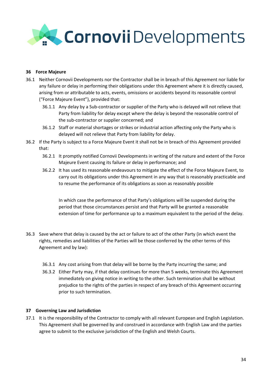

#### **36 Force Majeure**

- 36.1 Neither Cornovii Developments nor the Contractor shall be in breach of this Agreement nor liable for any failure or delay in performing their obligations under this Agreement where it is directly caused, arising from or attributable to acts, events, omissions or accidents beyond its reasonable control ("Force Majeure Event"), provided that:
	- 36.1.1 Any delay by a Sub-contractor or supplier of the Party who is delayed will not relieve that Party from liability for delay except where the delay is beyond the reasonable control of the sub-contractor or supplier concerned; and
	- 36.1.2 Staff or material shortages or strikes or industrial action affecting only the Party who is delayed will not relieve that Party from liability for delay.
- 36.2 If the Party is subject to a Force Majeure Event it shall not be in breach of this Agreement provided that:
	- 36.2.1 It promptly notified Cornovii Developments in writing of the nature and extent of the Force Majeure Event causing its failure or delay in performance; and
	- 36.2.2 It has used its reasonable endeavours to mitigate the effect of the Force Majeure Event, to carry out its obligations under this Agreement in any way that is reasonably practicable and to resume the performance of its obligations as soon as reasonably possible

In which case the performance of that Party's obligations will be suspended during the period that those circumstances persist and that Party will be granted a reasonable extension of time for performance up to a maximum equivalent to the period of the delay.

- 36.3 Save where that delay is caused by the act or failure to act of the other Party (in which event the rights, remedies and liabilities of the Parties will be those conferred by the other terms of this Agreement and by law):
	- 36.3.1 Any cost arising from that delay will be borne by the Party incurring the same; and
	- 36.3.2 Either Party may, if that delay continues for more than 5 weeks, terminate this Agreement immediately on giving notice in writing to the other. Such termination shall be without prejudice to the rights of the parties in respect of any breach of this Agreement occurring prior to such termination.

#### **37 Governing Law and Jurisdiction**

37.1 It is the responsibility of the Contractor to comply with all relevant European and English Legislation. This Agreement shall be governed by and construed in accordance with English Law and the parties agree to submit to the exclusive jurisdiction of the English and Welsh Courts.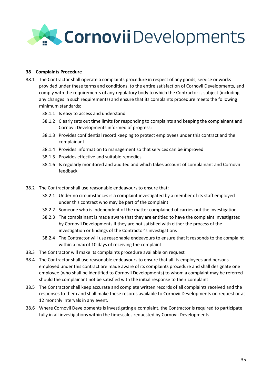

#### **38 Complaints Procedure**

- 38.1 The Contractor shall operate a complaints procedure in respect of any goods, service or works provided under these terms and conditions, to the entire satisfaction of Cornovii Developments, and comply with the requirements of any regulatory body to which the Contractor is subject (including any changes in such requirements) and ensure that its complaints procedure meets the following minimum standards:
	- 38.1.1 Is easy to access and understand
	- 38.1.2 Clearly sets out time limits for responding to complaints and keeping the complainant and Cornovii Developments informed of progress;
	- 38.1.3 Provides confidential record keeping to protect employees under this contract and the complainant
	- 38.1.4 Provides information to management so that services can be improved
	- 38.1.5 Provides effective and suitable remedies
	- 38.1.6 Is regularly monitored and audited and which takes account of complainant and Cornovii feedback
- 38.2 The Contractor shall use reasonable endeavours to ensure that:
	- 38.2.1 Under no circumstances is a complaint investigated by a member of its staff employed under this contract who may be part of the complaint
	- 38.2.2 Someone who is independent of the matter complained of carries out the investigation
	- 38.2.3 The complainant is made aware that they are entitled to have the complaint investigated by Cornovii Developments if they are not satisfied with either the process of the investigation or findings of the Contractor's investigations
	- 38.2.4 The Contractor will use reasonable endeavours to ensure that it responds to the complaint within a max of 10 days of receiving the complaint
- 38.3 The Contractor will make its complaints procedure available on request
- 38.4 The Contractor shall use reasonable endeavours to ensure that all its employees and persons employed under this contract are made aware of its complaints procedure and shall designate one employee (who shall be identified to Cornovii Developments) to whom a complaint may be referred should the complainant not be satisfied with the initial response to their complaint
- 38.5 The Contractor shall keep accurate and complete written records of all complaints received and the responses to them and shall make these records available to Cornovii Developments on request or at 12 monthly intervals in any event.
- 38.6 Where Cornovii Developments is investigating a complaint, the Contractor is required to participate fully in all investigations within the timescales requested by Cornovii Developments.